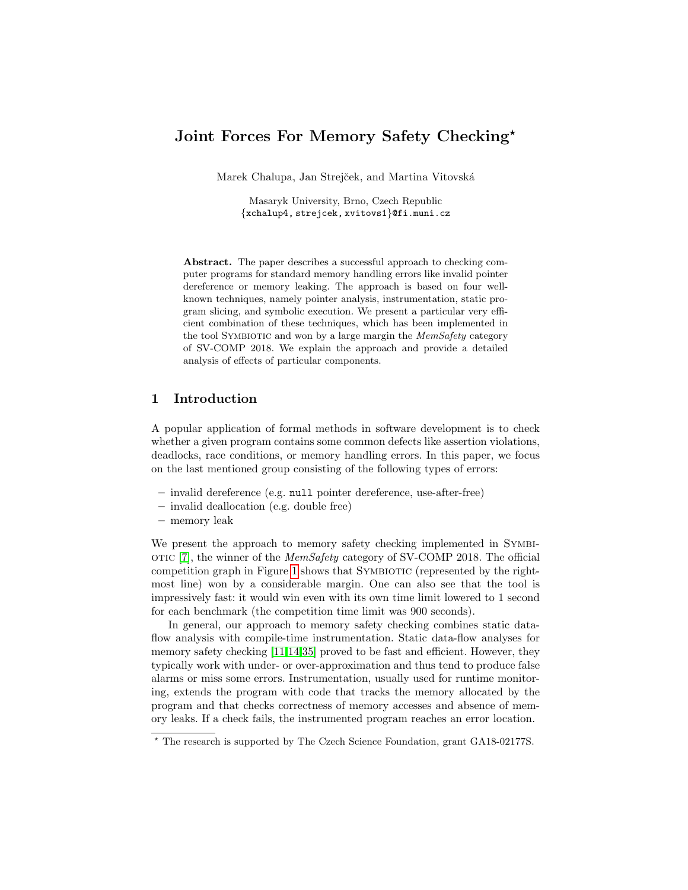# Joint Forces For Memory Safety Checking\*

Marek Chalupa, Jan Strejček, and Martina Vitovská

Masaryk University, Brno, Czech Republic {xchalup4, strejcek, xvitovs1}@fi.muni.cz

Abstract. The paper describes a successful approach to checking computer programs for standard memory handling errors like invalid pointer dereference or memory leaking. The approach is based on four wellknown techniques, namely pointer analysis, instrumentation, static program slicing, and symbolic execution. We present a particular very efficient combination of these techniques, which has been implemented in the tool SYMBIOTIC and won by a large margin the MemSafety category of SV-COMP 2018. We explain the approach and provide a detailed analysis of effects of particular components.

### 1 Introduction

A popular application of formal methods in software development is to check whether a given program contains some common defects like assertion violations, deadlocks, race conditions, or memory handling errors. In this paper, we focus on the last mentioned group consisting of the following types of errors:

- invalid dereference (e.g. null pointer dereference, use-after-free)
- invalid deallocation (e.g. double free)
- memory leak

We present the approach to memory safety checking implemented in Symbi-oric [\[7\]](#page-15-0), the winner of the  $MemSafety$  category of SV-COMP 2018. The official competition graph in Figure [1](#page-1-0) shows that Symbiotic (represented by the rightmost line) won by a considerable margin. One can also see that the tool is impressively fast: it would win even with its own time limit lowered to 1 second for each benchmark (the competition time limit was 900 seconds).

In general, our approach to memory safety checking combines static dataflow analysis with compile-time instrumentation. Static data-flow analyses for memory safety checking [\[11,](#page-16-0)[14](#page-16-1)[,35\]](#page-17-0) proved to be fast and efficient. However, they typically work with under- or over-approximation and thus tend to produce false alarms or miss some errors. Instrumentation, usually used for runtime monitoring, extends the program with code that tracks the memory allocated by the program and that checks correctness of memory accesses and absence of memory leaks. If a check fails, the instrumented program reaches an error location.

<sup>?</sup> The research is supported by The Czech Science Foundation, grant GA18-02177S.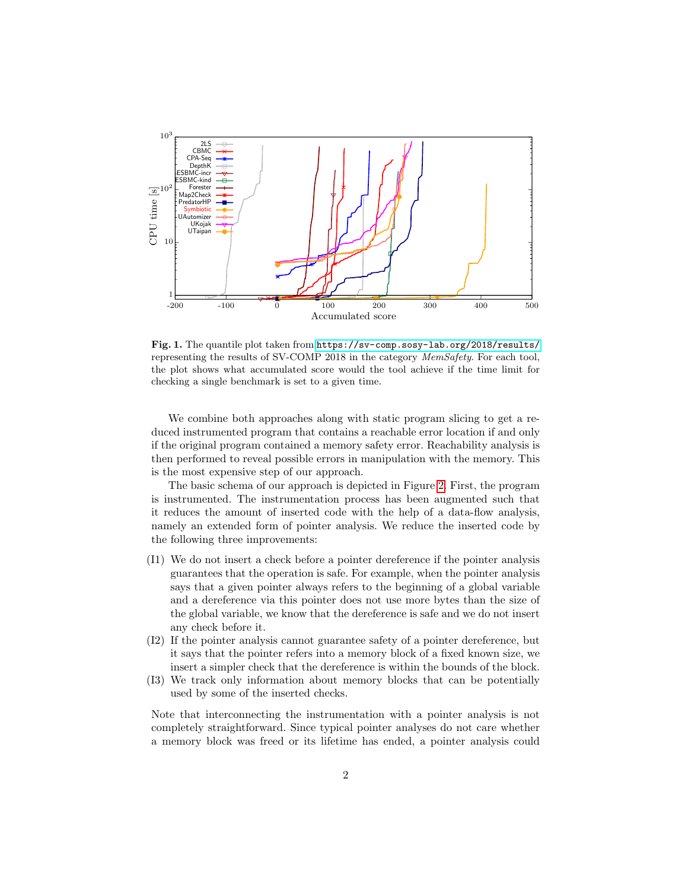

<span id="page-1-0"></span>Fig. 1. The quantile plot taken from <https://sv-comp.sosy-lab.org/2018/results/> representing the results of SV-COMP 2018 in the category MemSafety. For each tool, the plot shows what accumulated score would the tool achieve if the time limit for checking a single benchmark is set to a given time.

We combine both approaches along with static program slicing to get a reduced instrumented program that contains a reachable error location if and only if the original program contained a memory safety error. Reachability analysis is then performed to reveal possible errors in manipulation with the memory. This is the most expensive step of our approach.

The basic schema of our approach is depicted in Figure [2.](#page-2-0) First, the program is instrumented. The instrumentation process has been augmented such that it reduces the amount of inserted code with the help of a data-flow analysis, namely an extended form of pointer analysis. We reduce the inserted code by the following three improvements:

- (I1) We do not insert a check before a pointer dereference if the pointer analysis guarantees that the operation is safe. For example, when the pointer analysis says that a given pointer always refers to the beginning of a global variable and a dereference via this pointer does not use more bytes than the size of the global variable, we know that the dereference is safe and we do not insert any check before it.
- (I2) If the pointer analysis cannot guarantee safety of a pointer dereference, but it says that the pointer refers into a memory block of a fixed known size, we insert a simpler check that the dereference is within the bounds of the block.
- (I3) We track only information about memory blocks that can be potentially used by some of the inserted checks.

Note that interconnecting the instrumentation with a pointer analysis is not completely straightforward. Since typical pointer analyses do not care whether a memory block was freed or its lifetime has ended, a pointer analysis could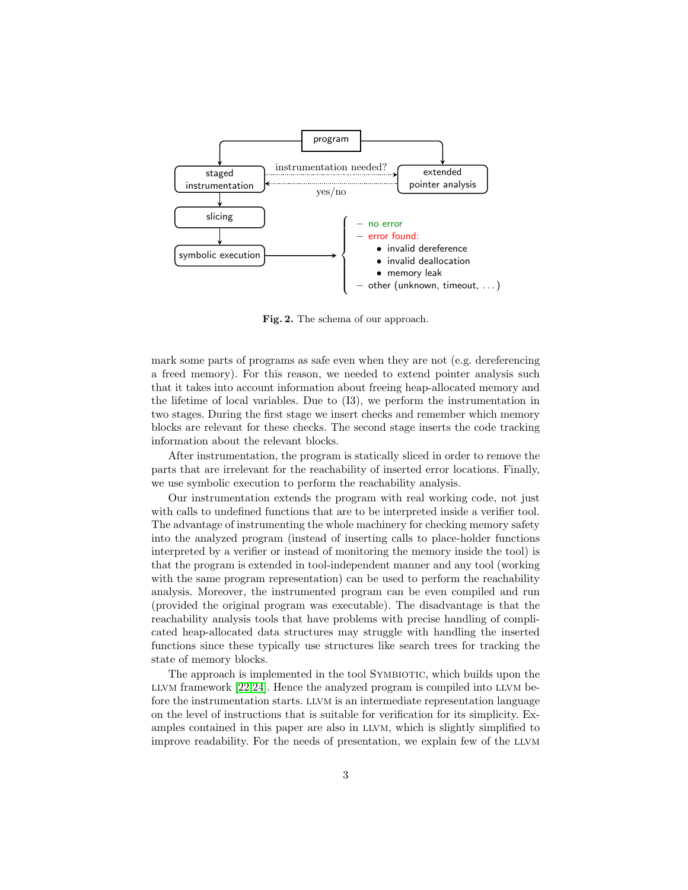

<span id="page-2-0"></span>Fig. 2. The schema of our approach.

mark some parts of programs as safe even when they are not (e.g. dereferencing a freed memory). For this reason, we needed to extend pointer analysis such that it takes into account information about freeing heap-allocated memory and the lifetime of local variables. Due to (I3), we perform the instrumentation in two stages. During the first stage we insert checks and remember which memory blocks are relevant for these checks. The second stage inserts the code tracking information about the relevant blocks.

After instrumentation, the program is statically sliced in order to remove the parts that are irrelevant for the reachability of inserted error locations. Finally, we use symbolic execution to perform the reachability analysis.

Our instrumentation extends the program with real working code, not just with calls to undefined functions that are to be interpreted inside a verifier tool. The advantage of instrumenting the whole machinery for checking memory safety into the analyzed program (instead of inserting calls to place-holder functions interpreted by a verifier or instead of monitoring the memory inside the tool) is that the program is extended in tool-independent manner and any tool (working with the same program representation) can be used to perform the reachability analysis. Moreover, the instrumented program can be even compiled and run (provided the original program was executable). The disadvantage is that the reachability analysis tools that have problems with precise handling of complicated heap-allocated data structures may struggle with handling the inserted functions since these typically use structures like search trees for tracking the state of memory blocks.

The approach is implemented in the tool SYMBIOTIC, which builds upon the LLVM framework  $[22,24]$  $[22,24]$ . Hence the analyzed program is compiled into LLVM before the instrumentation starts. llvm is an intermediate representation language on the level of instructions that is suitable for verification for its simplicity. Examples contained in this paper are also in LLVM, which is slightly simplified to improve readability. For the needs of presentation, we explain few of the LLVM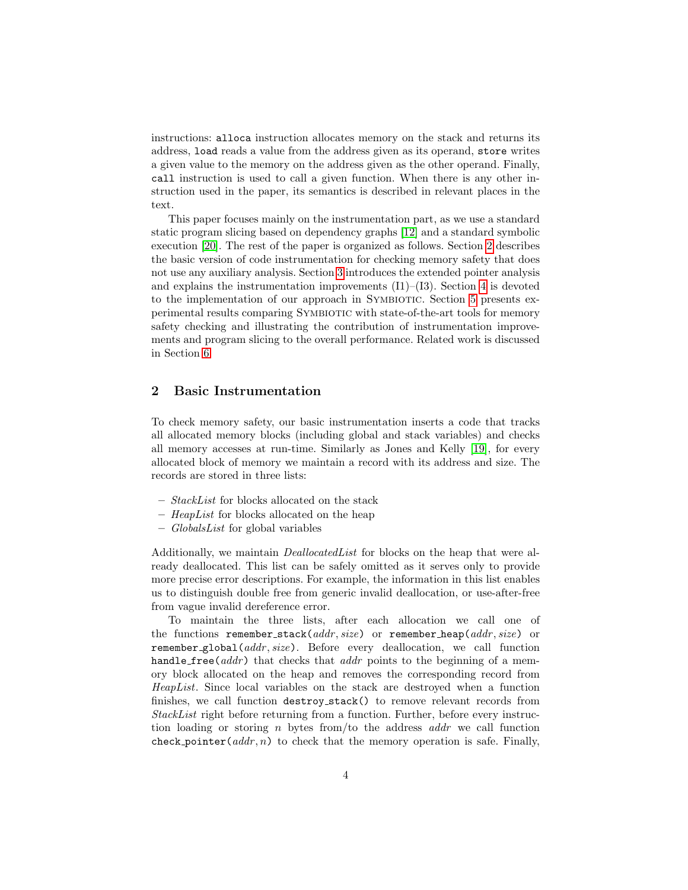instructions: alloca instruction allocates memory on the stack and returns its address, load reads a value from the address given as its operand, store writes a given value to the memory on the address given as the other operand. Finally, call instruction is used to call a given function. When there is any other instruction used in the paper, its semantics is described in relevant places in the text.

This paper focuses mainly on the instrumentation part, as we use a standard static program slicing based on dependency graphs [\[12\]](#page-16-4) and a standard symbolic execution [\[20\]](#page-16-5). The rest of the paper is organized as follows. Section [2](#page-3-0) describes the basic version of code instrumentation for checking memory safety that does not use any auxiliary analysis. Section [3](#page-4-0) introduces the extended pointer analysis and explains the instrumentation improvements  $(11)$ – $(13)$ . Section [4](#page-8-0) is devoted to the implementation of our approach in Symbiotic. Section [5](#page-9-0) presents experimental results comparing Symbiotic with state-of-the-art tools for memory safety checking and illustrating the contribution of instrumentation improvements and program slicing to the overall performance. Related work is discussed in Section [6.](#page-12-0)

## <span id="page-3-0"></span>2 Basic Instrumentation

To check memory safety, our basic instrumentation inserts a code that tracks all allocated memory blocks (including global and stack variables) and checks all memory accesses at run-time. Similarly as Jones and Kelly [\[19\]](#page-16-6), for every allocated block of memory we maintain a record with its address and size. The records are stored in three lists:

- StackList for blocks allocated on the stack
- HeapList for blocks allocated on the heap
- $-$  *GlobalsList* for global variables

Additionally, we maintain DeallocatedList for blocks on the heap that were already deallocated. This list can be safely omitted as it serves only to provide more precise error descriptions. For example, the information in this list enables us to distinguish double free from generic invalid deallocation, or use-after-free from vague invalid dereference error.

To maintain the three lists, after each allocation we call one of the functions remember\_stack( $addr, size$ ) or remember\_heap( $addr, size$ ) or remember global(addr, size). Before every deallocation, we call function handle free( $addr$ ) that checks that  $addr$  points to the beginning of a memory block allocated on the heap and removes the corresponding record from HeapList. Since local variables on the stack are destroyed when a function finishes, we call function destroy stack() to remove relevant records from StackList right before returning from a function. Further, before every instruction loading or storing n bytes from/to the address  $addr$  we call function check pointer  $(addr, n)$  to check that the memory operation is safe. Finally,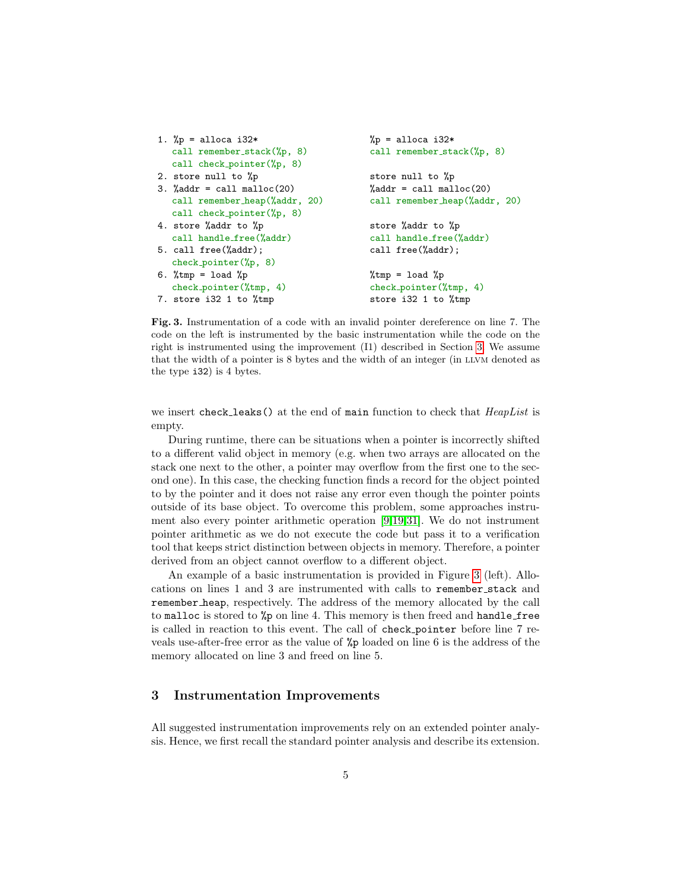```
1. \gamma_p = alloca i32*
  call remember_stack(%p, 8)
  call check pointer(%p, 8)
2. store null to %p
3. %addr = call malloc(20)call remember heap(%addr, 20)
   call check pointer(%p, 8)
4. store %addr to %p
   call handle free(%addr)
5. call free(%addr);
   check pointer(%p, 8)
6. %tmp = load %pcheck pointer(%tmp, 4)
7. store i32 1 to %tmp
                                          %p =alloca i32*
                                          call remember_stack(%p, 8)
                                          store null to %p
                                          \%addr = call malloc(20)call remember heap(%addr, 20)
                                          store %addr to %p
                                          call handle free(%addr)
                                          call free(%addr);
                                          %tmp = load %pcheck pointer(%tmp, 4)
                                          store i32 1 to %tmp
```
<span id="page-4-1"></span>Fig. 3. Instrumentation of a code with an invalid pointer dereference on line 7. The code on the left is instrumented by the basic instrumentation while the code on the right is instrumented using the improvement (I1) described in Section [3.](#page-4-0) We assume that the width of a pointer is 8 bytes and the width of an integer (in LLVM denoted as the type i32) is 4 bytes.

we insert check leaks() at the end of main function to check that  $HeapList$  is empty.

During runtime, there can be situations when a pointer is incorrectly shifted to a different valid object in memory (e.g. when two arrays are allocated on the stack one next to the other, a pointer may overflow from the first one to the second one). In this case, the checking function finds a record for the object pointed to by the pointer and it does not raise any error even though the pointer points outside of its base object. To overcome this problem, some approaches instrument also every pointer arithmetic operation [\[9,](#page-15-1)[19,](#page-16-6)[31\]](#page-17-1). We do not instrument pointer arithmetic as we do not execute the code but pass it to a verification tool that keeps strict distinction between objects in memory. Therefore, a pointer derived from an object cannot overflow to a different object.

An example of a basic instrumentation is provided in Figure [3](#page-4-1) (left). Allocations on lines 1 and 3 are instrumented with calls to remember stack and remember heap, respectively. The address of the memory allocated by the call to malloc is stored to %p on line 4. This memory is then freed and handle free is called in reaction to this event. The call of check pointer before line 7 reveals use-after-free error as the value of %p loaded on line 6 is the address of the memory allocated on line 3 and freed on line 5.

#### <span id="page-4-0"></span>3 Instrumentation Improvements

All suggested instrumentation improvements rely on an extended pointer analysis. Hence, we first recall the standard pointer analysis and describe its extension.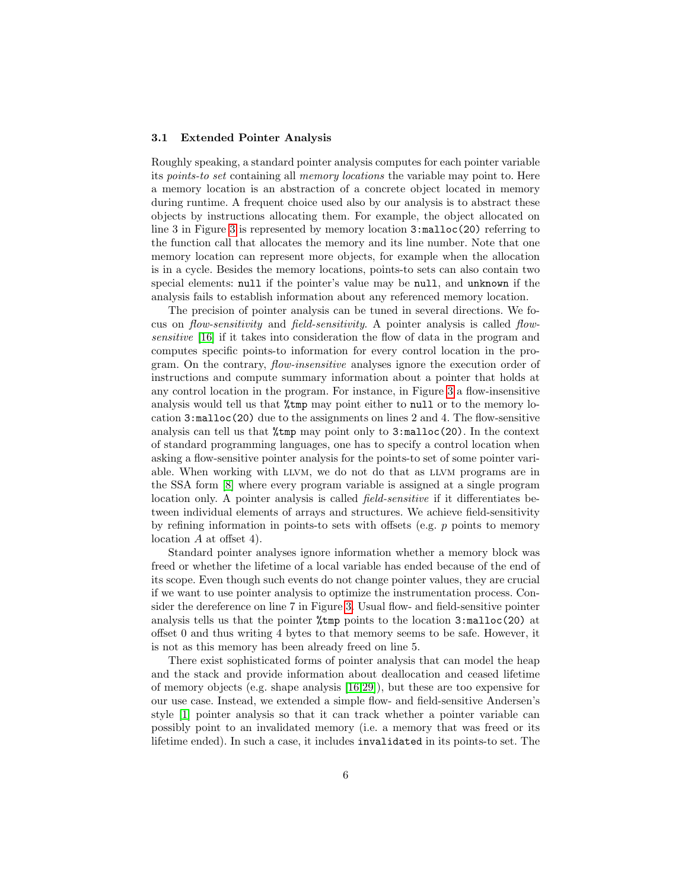#### 3.1 Extended Pointer Analysis

Roughly speaking, a standard pointer analysis computes for each pointer variable its points-to set containing all memory locations the variable may point to. Here a memory location is an abstraction of a concrete object located in memory during runtime. A frequent choice used also by our analysis is to abstract these objects by instructions allocating them. For example, the object allocated on line 3 in Figure [3](#page-4-1) is represented by memory location 3:malloc(20) referring to the function call that allocates the memory and its line number. Note that one memory location can represent more objects, for example when the allocation is in a cycle. Besides the memory locations, points-to sets can also contain two special elements: null if the pointer's value may be null, and unknown if the analysis fails to establish information about any referenced memory location.

The precision of pointer analysis can be tuned in several directions. We focus on flow-sensitivity and field-sensitivity. A pointer analysis is called flowsensitive [\[16\]](#page-16-7) if it takes into consideration the flow of data in the program and computes specific points-to information for every control location in the program. On the contrary, *flow-insensitive* analyses ignore the execution order of instructions and compute summary information about a pointer that holds at any control location in the program. For instance, in Figure [3](#page-4-1) a flow-insensitive analysis would tell us that %tmp may point either to null or to the memory location  $3:\text{malloc}(20)$  due to the assignments on lines 2 and 4. The flow-sensitive analysis can tell us that %tmp may point only to 3:malloc(20). In the context of standard programming languages, one has to specify a control location when asking a flow-sensitive pointer analysis for the points-to set of some pointer variable. When working with llvm, we do not do that as llvm programs are in the SSA form [\[8\]](#page-15-2) where every program variable is assigned at a single program location only. A pointer analysis is called *field-sensitive* if it differentiates between individual elements of arrays and structures. We achieve field-sensitivity by refining information in points-to sets with offsets (e.g.  $p$  points to memory location A at offset 4).

Standard pointer analyses ignore information whether a memory block was freed or whether the lifetime of a local variable has ended because of the end of its scope. Even though such events do not change pointer values, they are crucial if we want to use pointer analysis to optimize the instrumentation process. Consider the dereference on line 7 in Figure [3.](#page-4-1) Usual flow- and field-sensitive pointer analysis tells us that the pointer %tmp points to the location 3:malloc(20) at offset 0 and thus writing 4 bytes to that memory seems to be safe. However, it is not as this memory has been already freed on line 5.

There exist sophisticated forms of pointer analysis that can model the heap and the stack and provide information about deallocation and ceased lifetime of memory objects (e.g. shape analysis [\[16,](#page-16-7)[29\]](#page-17-2)), but these are too expensive for our use case. Instead, we extended a simple flow- and field-sensitive Andersen's style [\[1\]](#page-15-3) pointer analysis so that it can track whether a pointer variable can possibly point to an invalidated memory (i.e. a memory that was freed or its lifetime ended). In such a case, it includes invalidated in its points-to set. The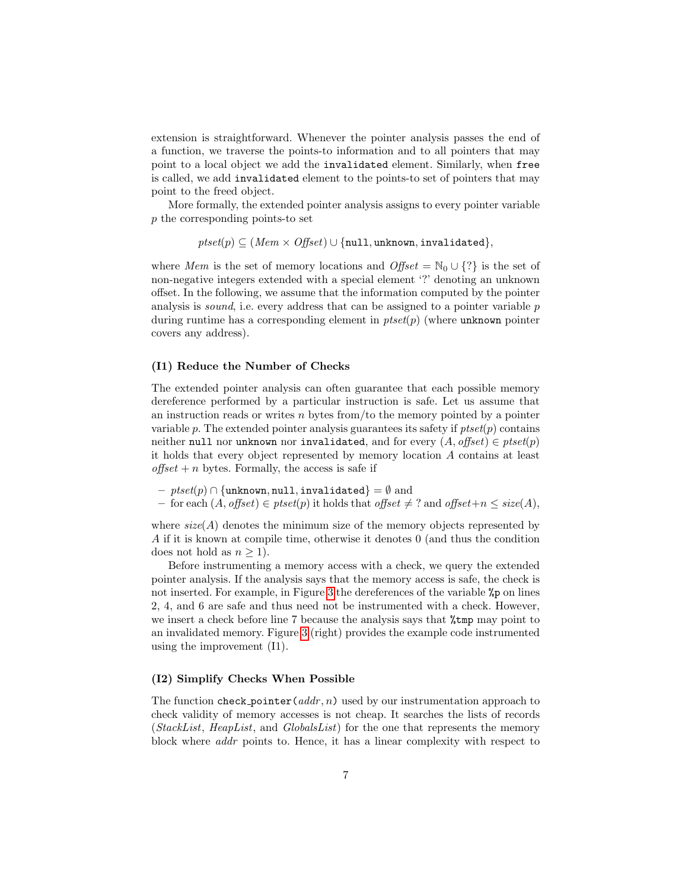extension is straightforward. Whenever the pointer analysis passes the end of a function, we traverse the points-to information and to all pointers that may point to a local object we add the invalidated element. Similarly, when free is called, we add invalidated element to the points-to set of pointers that may point to the freed object.

More formally, the extended pointer analysis assigns to every pointer variable p the corresponding points-to set

$$
\mathit{ptset}(p) \subseteq (\mathit{Mem} \times \mathit{Offset}) \cup \{\mathtt{null}, \mathtt{unknown}, \mathtt{invalidated}\},
$$

where Mem is the set of memory locations and  $\text{Offset} = \mathbb{N}_0 \cup \{? \}$  is the set of non-negative integers extended with a special element '?' denoting an unknown offset. In the following, we assume that the information computed by the pointer analysis is *sound*, i.e. every address that can be assigned to a pointer variable  $p$ during runtime has a corresponding element in  $ptset(p)$  (where unknown pointer covers any address).

#### (I1) Reduce the Number of Checks

The extended pointer analysis can often guarantee that each possible memory dereference performed by a particular instruction is safe. Let us assume that an instruction reads or writes  $n$  bytes from/to the memory pointed by a pointer variable p. The extended pointer analysis guarantees its safety if  $ptset(p)$  contains neither null nor unknown nor invalidated, and for every  $(A, offset) \in ptset(p)$ it holds that every object represented by memory location A contains at least  $offset + n$  bytes. Formally, the access is safe if

 $– ptset(p) \cap \{unknown, null, invalidated\} = \emptyset$  and

– for each  $(A, \text{offset})$  ∈ ptset $(p)$  it holds that offset  $\neq$  ? and offset+n  $\leq$  size(A),

where  $size(A)$  denotes the minimum size of the memory objects represented by A if it is known at compile time, otherwise it denotes 0 (and thus the condition does not hold as  $n \geq 1$ .

Before instrumenting a memory access with a check, we query the extended pointer analysis. If the analysis says that the memory access is safe, the check is not inserted. For example, in Figure [3](#page-4-1) the dereferences of the variable %p on lines 2, 4, and 6 are safe and thus need not be instrumented with a check. However, we insert a check before line 7 because the analysis says that  $\frac{1}{2}$ tmp may point to an invalidated memory. Figure [3](#page-4-1) (right) provides the example code instrumented using the improvement (I1).

#### (I2) Simplify Checks When Possible

The function check pointer  $(\alpha ddr, n)$  used by our instrumentation approach to check validity of memory accesses is not cheap. It searches the lists of records (StackList, HeapList, and GlobalsList) for the one that represents the memory block where addr points to. Hence, it has a linear complexity with respect to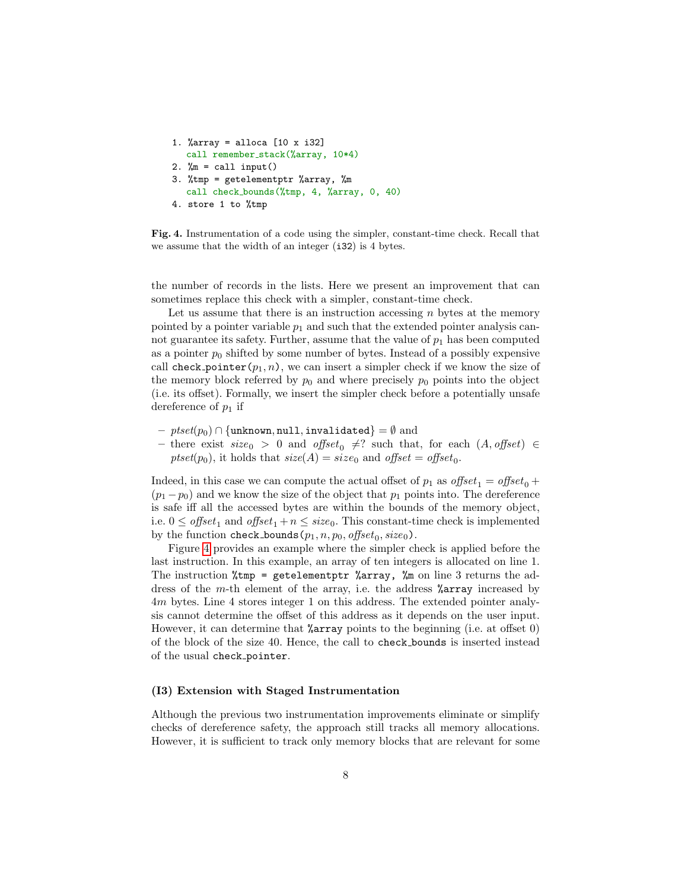```
1. %array = alloca [10 x i32]
   call remember stack(%array, 10*4)
2. \mathcal{E} = \text{call input}()3. %tmp = getelementptr %array, %m
   call check bounds(%tmp, 4, %array, 0, 40)
4. store 1 to %tmp
```
<span id="page-7-0"></span>Fig. 4. Instrumentation of a code using the simpler, constant-time check. Recall that we assume that the width of an integer (i32) is 4 bytes.

the number of records in the lists. Here we present an improvement that can sometimes replace this check with a simpler, constant-time check.

Let us assume that there is an instruction accessing  $n$  bytes at the memory pointed by a pointer variable  $p_1$  and such that the extended pointer analysis cannot guarantee its safety. Further, assume that the value of  $p_1$  has been computed as a pointer  $p_0$  shifted by some number of bytes. Instead of a possibly expensive call check pointer $(p_1, n)$ , we can insert a simpler check if we know the size of the memory block referred by  $p_0$  and where precisely  $p_0$  points into the object (i.e. its offset). Formally, we insert the simpler check before a potentially unsafe dereference of  $p_1$  if

- $-$  ptset( $p_0$ )  $\cap$  {unknown, null, invalidated} =  $\emptyset$  and
- there exist size<sub>0</sub> > 0 and offset<sub>0</sub>  $\neq$ ? such that, for each (A, offset) ∈  $ptset(p_0)$ , it holds that  $size(A) = size_0$  and  $offset = offset_0$ .

Indeed, in this case we can compute the actual offset of  $p_1$  as  $offset_1 = offset_0 +$  $(p_1 - p_0)$  and we know the size of the object that  $p_1$  points into. The dereference is safe iff all the accessed bytes are within the bounds of the memory object, i.e.  $0 \leq$  offset<sub>1</sub> and offset<sub>1</sub> +  $n \leq size_0$ . This constant-time check is implemented by the function check\_bounds( $p_1, n, p_0$ , offset<sub>0</sub>, size<sub>0</sub>).

Figure [4](#page-7-0) provides an example where the simpler check is applied before the last instruction. In this example, an array of ten integers is allocated on line 1. The instruction  $\text{\%tmp = getelementptr \%array, }\text{\%m on line 3 returns the ad-}$ dress of the m-th element of the array, i.e. the address %array increased by 4m bytes. Line 4 stores integer 1 on this address. The extended pointer analysis cannot determine the offset of this address as it depends on the user input. However, it can determine that **%array** points to the beginning (i.e. at offset 0) of the block of the size 40. Hence, the call to check bounds is inserted instead of the usual check pointer.

#### (I3) Extension with Staged Instrumentation

Although the previous two instrumentation improvements eliminate or simplify checks of dereference safety, the approach still tracks all memory allocations. However, it is sufficient to track only memory blocks that are relevant for some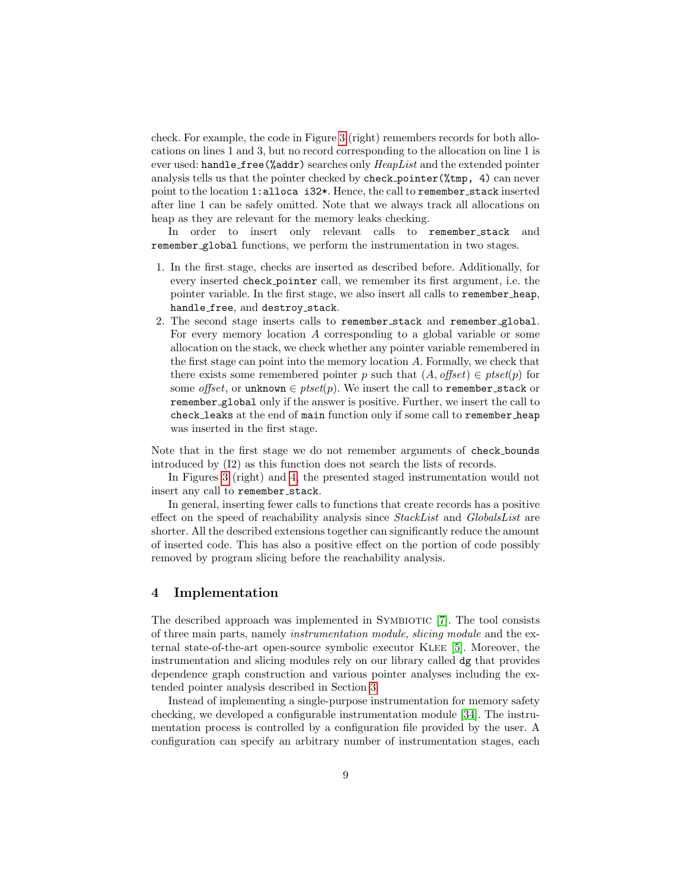check. For example, the code in Figure [3](#page-4-1) (right) remembers records for both allocations on lines 1 and 3, but no record corresponding to the allocation on line 1 is ever used: handle\_free(%addr) searches only  $HeapList$  and the extended pointer analysis tells us that the pointer checked by check pointer(%tmp, 4) can never point to the location 1:alloca i32\*. Hence, the call to remember\_stack inserted after line 1 can be safely omitted. Note that we always track all allocations on heap as they are relevant for the memory leaks checking.

In order to insert only relevant calls to remember stack and remember global functions, we perform the instrumentation in two stages.

- 1. In the first stage, checks are inserted as described before. Additionally, for every inserted check pointer call, we remember its first argument, i.e. the pointer variable. In the first stage, we also insert all calls to remember heap, handle\_free, and destroy\_stack.
- 2. The second stage inserts calls to remember stack and remember global. For every memory location A corresponding to a global variable or some allocation on the stack, we check whether any pointer variable remembered in the first stage can point into the memory location A. Formally, we check that there exists some remembered pointer p such that  $(A, offset) \in p \text{t}set(p)$  for some offset, or unknown  $\in$  ptset(p). We insert the call to remember\_stack or remember global only if the answer is positive. Further, we insert the call to check leaks at the end of main function only if some call to remember heap was inserted in the first stage.

Note that in the first stage we do not remember arguments of check bounds introduced by (I2) as this function does not search the lists of records.

In Figures [3](#page-4-1) (right) and [4,](#page-7-0) the presented staged instrumentation would not insert any call to remember\_stack.

In general, inserting fewer calls to functions that create records has a positive effect on the speed of reachability analysis since StackList and GlobalsList are shorter. All the described extensions together can significantly reduce the amount of inserted code. This has also a positive effect on the portion of code possibly removed by program slicing before the reachability analysis.

### <span id="page-8-0"></span>4 Implementation

The described approach was implemented in SYMBIOTIC [\[7\]](#page-15-0). The tool consists of three main parts, namely instrumentation module, slicing module and the external state-of-the-art open-source symbolic executor Klee [\[5\]](#page-15-4). Moreover, the instrumentation and slicing modules rely on our library called dg that provides dependence graph construction and various pointer analyses including the extended pointer analysis described in Section [3.](#page-4-0)

Instead of implementing a single-purpose instrumentation for memory safety checking, we developed a configurable instrumentation module [\[34\]](#page-17-3). The instrumentation process is controlled by a configuration file provided by the user. A configuration can specify an arbitrary number of instrumentation stages, each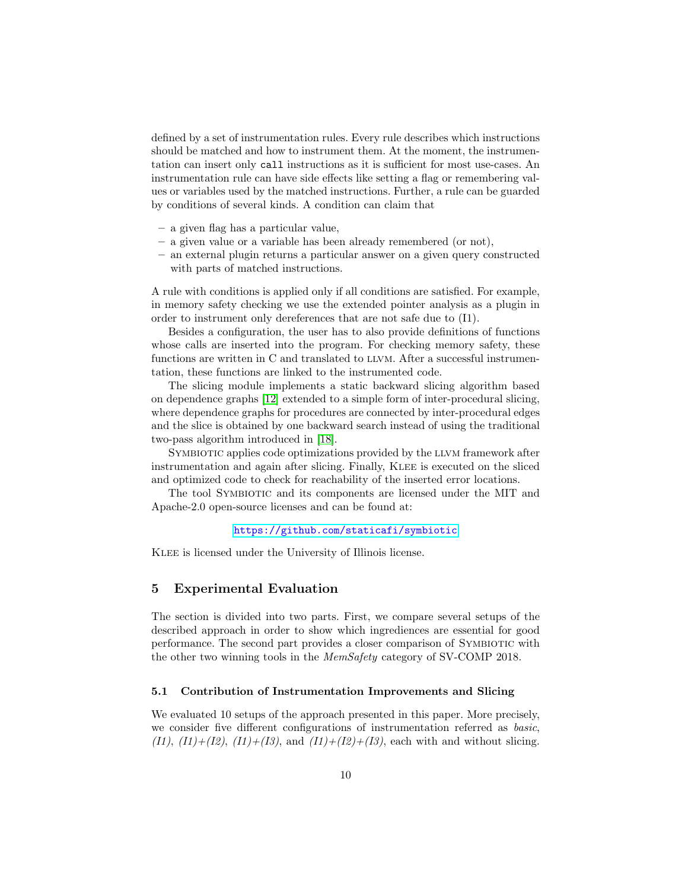defined by a set of instrumentation rules. Every rule describes which instructions should be matched and how to instrument them. At the moment, the instrumentation can insert only call instructions as it is sufficient for most use-cases. An instrumentation rule can have side effects like setting a flag or remembering values or variables used by the matched instructions. Further, a rule can be guarded by conditions of several kinds. A condition can claim that

- a given flag has a particular value,
- a given value or a variable has been already remembered (or not),
- an external plugin returns a particular answer on a given query constructed with parts of matched instructions.

A rule with conditions is applied only if all conditions are satisfied. For example, in memory safety checking we use the extended pointer analysis as a plugin in order to instrument only dereferences that are not safe due to (I1).

Besides a configuration, the user has to also provide definitions of functions whose calls are inserted into the program. For checking memory safety, these functions are written in C and translated to LLVM. After a successful instrumentation, these functions are linked to the instrumented code.

The slicing module implements a static backward slicing algorithm based on dependence graphs [\[12\]](#page-16-4) extended to a simple form of inter-procedural slicing, where dependence graphs for procedures are connected by inter-procedural edges and the slice is obtained by one backward search instead of using the traditional two-pass algorithm introduced in [\[18\]](#page-16-8).

SYMBIOTIC applies code optimizations provided by the LLVM framework after instrumentation and again after slicing. Finally, KLEE is executed on the sliced and optimized code to check for reachability of the inserted error locations.

The tool SYMBIOTIC and its components are licensed under the MIT and Apache-2.0 open-source licenses and can be found at:

#### <https://github.com/staticafi/symbiotic>

Klee is licensed under the University of Illinois license.

### <span id="page-9-0"></span>5 Experimental Evaluation

The section is divided into two parts. First, we compare several setups of the described approach in order to show which ingrediences are essential for good performance. The second part provides a closer comparison of Symbiotic with the other two winning tools in the MemSafety category of SV-COMP 2018.

#### 5.1 Contribution of Instrumentation Improvements and Slicing

We evaluated 10 setups of the approach presented in this paper. More precisely, we consider five different configurations of instrumentation referred as basic,  $(11)$ ,  $(11)+(12)$ ,  $(11)+(13)$ , and  $(11)+(12)+(13)$ , each with and without slicing.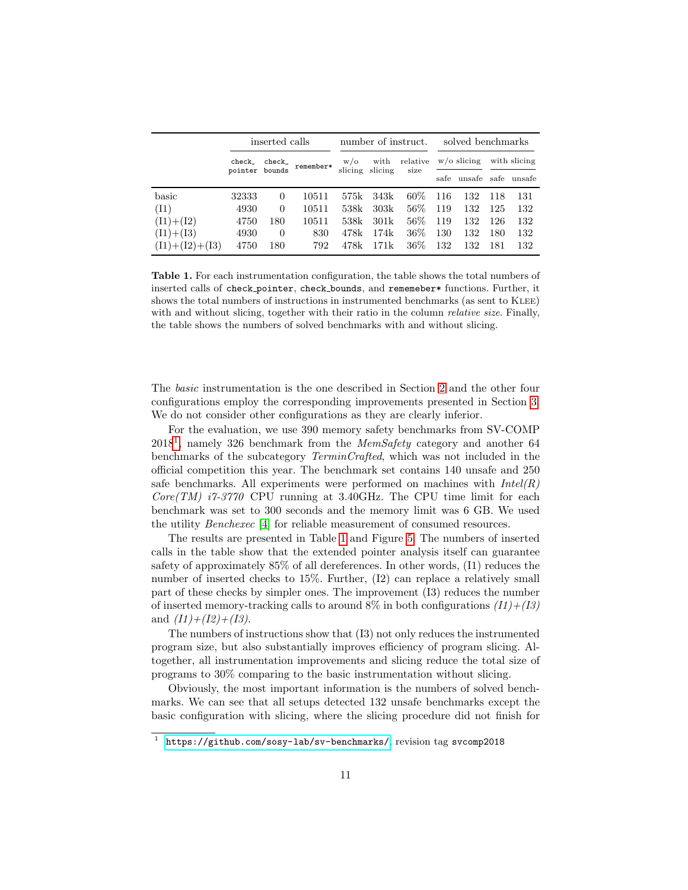|                  | inserted calls |                |           | number of instruct.   |                 |                  | solved benchmarks |        |              |        |
|------------------|----------------|----------------|-----------|-----------------------|-----------------|------------------|-------------------|--------|--------------|--------|
|                  | check_         | check_         | remember* | $w/\sigma$<br>slicing | with<br>slicing | relative<br>size | $w$ /o slicing    |        | with slicing |        |
|                  | pointer bounds |                |           |                       |                 |                  | safe              | unsafe | safe         | unsafe |
| basic            | 32333          | $\overline{0}$ | 10511     | 575k                  | 343k            | $60\%$           | 116               | 132    | -118         | 131    |
| (I1)             | 4930           | 0              | 10511     | 538k                  | 303k            | $56\%$           | 119               | 132    | 125          | 132    |
| $(11)+(12)$      | 4750           | 180            | 10511     | 538k                  | 301k            | $56\%$           | 119               | 132    | -126         | 132    |
| $(11)+(13)$      | 4930           | $\overline{0}$ | 830       | 478k                  | 174k            | $36\%$           | 130               | 132    | 180          | 132    |
| $(I1)+(I2)+(I3)$ | 4750           | 180            | 792       | 478k                  | 171k            | $36\%$           | 132               | 132    | 181          | 132    |

<span id="page-10-1"></span>Table 1. For each instrumentation configuration, the table shows the total numbers of inserted calls of check pointer, check bounds, and rememeber\* functions. Further, it shows the total numbers of instructions in instrumented benchmarks (as sent to KLEE) with and without slicing, together with their ratio in the column *relative size*. Finally, the table shows the numbers of solved benchmarks with and without slicing.

The basic instrumentation is the one described in Section [2](#page-3-0) and the other four configurations employ the corresponding improvements presented in Section [3.](#page-4-0) We do not consider other configurations as they are clearly inferior.

For the evaluation, we use 390 memory safety benchmarks from SV-COMP  $2018<sup>1</sup>$  $2018<sup>1</sup>$  $2018<sup>1</sup>$ , namely 326 benchmark from the *MemSafety* category and another 64 benchmarks of the subcategory TerminCrafted, which was not included in the official competition this year. The benchmark set contains 140 unsafe and 250 safe benchmarks. All experiments were performed on machines with  $Intel(R)$  $Core(TM)$  i7-3770 CPU running at 3.40GHz. The CPU time limit for each benchmark was set to 300 seconds and the memory limit was 6 GB. We used the utility Benchexec [\[4\]](#page-15-5) for reliable measurement of consumed resources.

The results are presented in Table [1](#page-10-1) and Figure [5.](#page-11-0) The numbers of inserted calls in the table show that the extended pointer analysis itself can guarantee safety of approximately 85% of all dereferences. In other words, (I1) reduces the number of inserted checks to 15%. Further, (I2) can replace a relatively small part of these checks by simpler ones. The improvement (I3) reduces the number of inserted memory-tracking calls to around  $8\%$  in both configurations  $(11)+(13)$ and  $(11)+(12)+(13)$ .

The numbers of instructions show that (I3) not only reduces the instrumented program size, but also substantially improves efficiency of program slicing. Altogether, all instrumentation improvements and slicing reduce the total size of programs to 30% comparing to the basic instrumentation without slicing.

Obviously, the most important information is the numbers of solved benchmarks. We can see that all setups detected 132 unsafe benchmarks except the basic configuration with slicing, where the slicing procedure did not finish for

<span id="page-10-0"></span><sup>&</sup>lt;sup>1</sup> <https://github.com/sosy-lab/sv-benchmarks/>, revision tag svcomp2018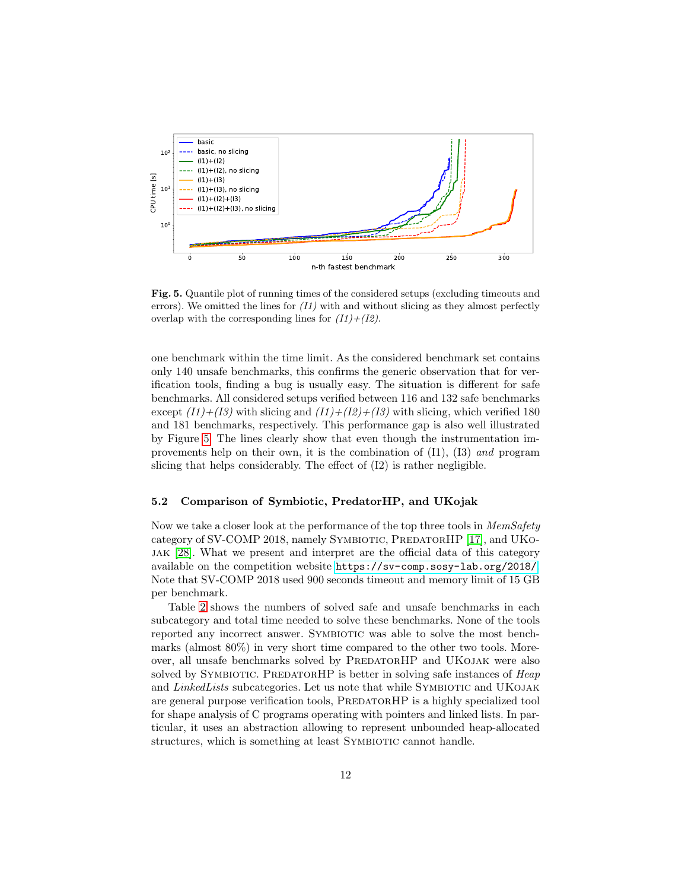

<span id="page-11-0"></span>Fig. 5. Quantile plot of running times of the considered setups (excluding timeouts and errors). We omitted the lines for  $(11)$  with and without slicing as they almost perfectly overlap with the corresponding lines for  $(11)+(12)$ .

one benchmark within the time limit. As the considered benchmark set contains only 140 unsafe benchmarks, this confirms the generic observation that for verification tools, finding a bug is usually easy. The situation is different for safe benchmarks. All considered setups verified between 116 and 132 safe benchmarks except  $(I1)+(I3)$  with slicing and  $(I1)+(I2)+(I3)$  with slicing, which verified 180 and 181 benchmarks, respectively. This performance gap is also well illustrated by Figure [5.](#page-11-0) The lines clearly show that even though the instrumentation improvements help on their own, it is the combination of (I1), (I3) and program slicing that helps considerably. The effect of (I2) is rather negligible.

### 5.2 Comparison of Symbiotic, PredatorHP, and UKojak

Now we take a closer look at the performance of the top three tools in *MemSafety* category of SV-COMP 2018, namely SYMBIOTIC, PREDATORHP [\[17\]](#page-16-9), and UKOjak [\[28\]](#page-17-4). What we present and interpret are the official data of this category available on the competition website <https://sv-comp.sosy-lab.org/2018/>. Note that SV-COMP 2018 used 900 seconds timeout and memory limit of 15 GB per benchmark.

Table [2](#page-12-1) shows the numbers of solved safe and unsafe benchmarks in each subcategory and total time needed to solve these benchmarks. None of the tools reported any incorrect answer. SYMBIOTIC was able to solve the most benchmarks (almost 80%) in very short time compared to the other two tools. Moreover, all unsafe benchmarks solved by PREDATORHP and UKOJAK were also solved by SYMBIOTIC. PREDATORHP is better in solving safe instances of Heap and LinkedLists subcategories. Let us note that while SYMBIOTIC and UKOJAK are general purpose verification tools, PREDATORHP is a highly specialized tool for shape analysis of C programs operating with pointers and linked lists. In particular, it uses an abstraction allowing to represent unbounded heap-allocated structures, which is something at least SYMBIOTIC cannot handle.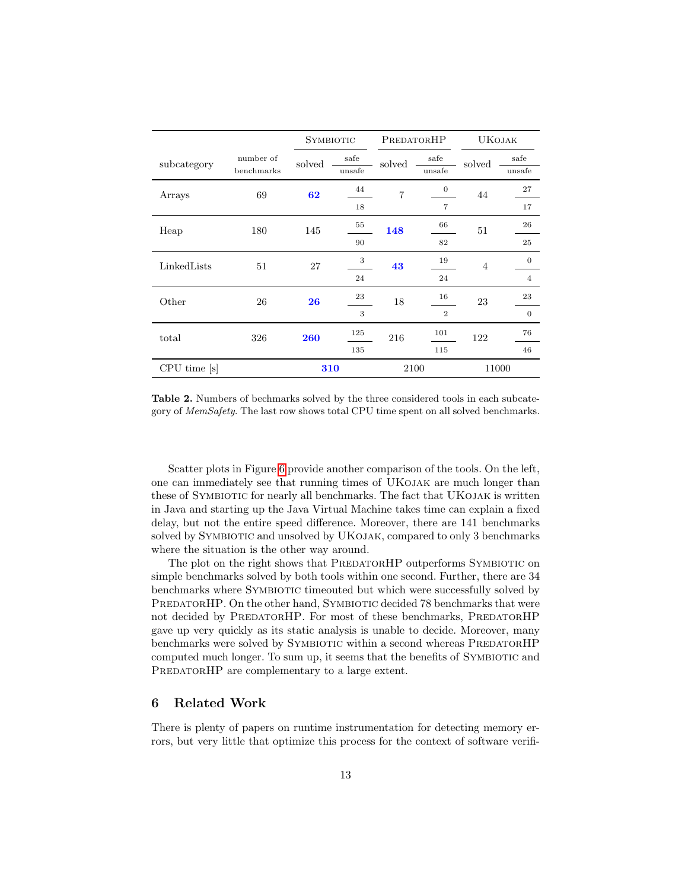|              |                         | <b>SYMBIOTIC</b> |                | PREDATORHP |                | <b>UKOJAK</b>  |                |
|--------------|-------------------------|------------------|----------------|------------|----------------|----------------|----------------|
| subcategory  | number of<br>benchmarks | solved           | safe<br>unsafe | solved     | safe<br>unsafe | solved         | safe<br>unsafe |
| Arrays       | 69                      | 62               | 44             | 7          | $\theta$       | 44             | 27             |
|              |                         |                  | 18             |            | 7              |                | 17             |
| Heap         | 180                     | 145              | 55             | 148        | 66             | 51             | 26             |
|              |                         |                  | 90             |            | 82             |                | 25             |
| LinkedLists  | 51                      | 27               | 3              | 43         | 19             | $\overline{4}$ | $\theta$       |
|              |                         |                  | 24             |            | 24             |                | $\overline{4}$ |
| Other        | 26                      | 26               | 23             | 18         | 16             | 23             | 23             |
|              |                         |                  | 3              |            | $\overline{2}$ |                | $\mathbf{0}$   |
| total        | 326                     | 260              | 125            | 216        | 101            | 122            | 76             |
|              |                         |                  | 135            |            | 115            |                | 46             |
| CPU time [s] |                         | 310              |                |            | 2100           | 11000          |                |

<span id="page-12-1"></span>Table 2. Numbers of bechmarks solved by the three considered tools in each subcategory of MemSafety. The last row shows total CPU time spent on all solved benchmarks.

Scatter plots in Figure [6](#page-13-0) provide another comparison of the tools. On the left, one can immediately see that running times of UKojak are much longer than these of SYMBIOTIC for nearly all benchmarks. The fact that UKOJAK is written in Java and starting up the Java Virtual Machine takes time can explain a fixed delay, but not the entire speed difference. Moreover, there are 141 benchmarks solved by SYMBIOTIC and unsolved by UKOJAK, compared to only 3 benchmarks where the situation is the other way around.

The plot on the right shows that PREDATORHP outperforms SYMBIOTIC on simple benchmarks solved by both tools within one second. Further, there are 34 benchmarks where Symbiotic timeouted but which were successfully solved by PREDATORHP. On the other hand, SYMBIOTIC decided 78 benchmarks that were not decided by PREDATORHP. For most of these benchmarks, PREDATORHP gave up very quickly as its static analysis is unable to decide. Moreover, many benchmarks were solved by SYMBIOTIC within a second whereas PREDATORHP computed much longer. To sum up, it seems that the benefits of SYMBIOTIC and PREDATORHP are complementary to a large extent.

### <span id="page-12-0"></span>6 Related Work

There is plenty of papers on runtime instrumentation for detecting memory errors, but very little that optimize this process for the context of software verifi-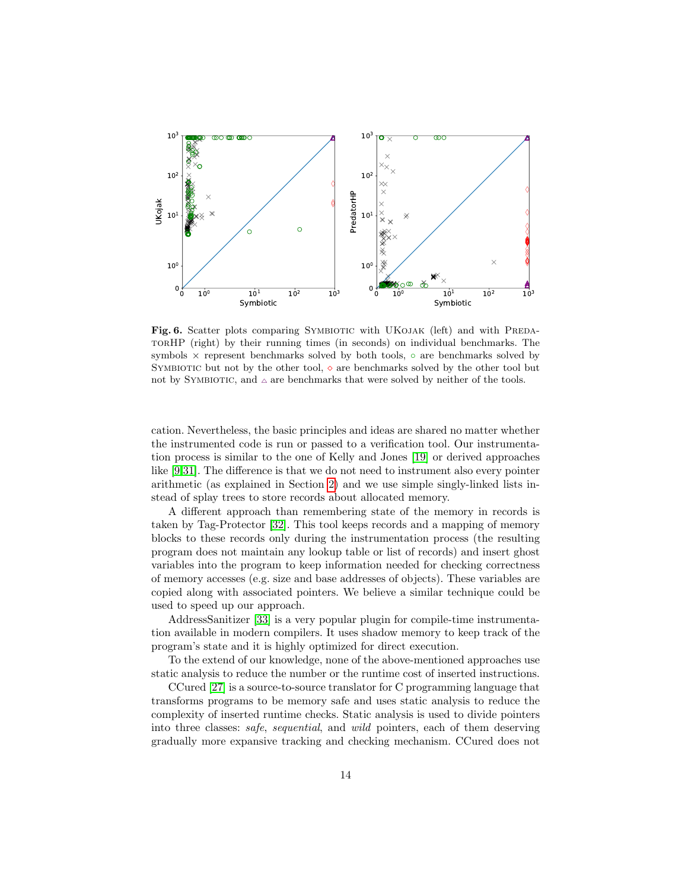

<span id="page-13-0"></span>Fig. 6. Scatter plots comparing SYMBIOTIC with UKOJAK (left) and with PREDAtorHP (right) by their running times (in seconds) on individual benchmarks. The symbols  $\times$  represent benchmarks solved by both tools,  $\circ$  are benchmarks solved by SYMBIOTIC but not by the other tool,  $\diamond$  are benchmarks solved by the other tool but not by SYMBIOTIC, and  $\Delta$  are benchmarks that were solved by neither of the tools.

cation. Nevertheless, the basic principles and ideas are shared no matter whether the instrumented code is run or passed to a verification tool. Our instrumentation process is similar to the one of Kelly and Jones [\[19\]](#page-16-6) or derived approaches like [\[9](#page-15-1)[,31\]](#page-17-1). The difference is that we do not need to instrument also every pointer arithmetic (as explained in Section [2\)](#page-3-0) and we use simple singly-linked lists instead of splay trees to store records about allocated memory.

A different approach than remembering state of the memory in records is taken by Tag-Protector [\[32\]](#page-17-5). This tool keeps records and a mapping of memory blocks to these records only during the instrumentation process (the resulting program does not maintain any lookup table or list of records) and insert ghost variables into the program to keep information needed for checking correctness of memory accesses (e.g. size and base addresses of objects). These variables are copied along with associated pointers. We believe a similar technique could be used to speed up our approach.

AddressSanitizer [\[33\]](#page-17-6) is a very popular plugin for compile-time instrumentation available in modern compilers. It uses shadow memory to keep track of the program's state and it is highly optimized for direct execution.

To the extend of our knowledge, none of the above-mentioned approaches use static analysis to reduce the number or the runtime cost of inserted instructions.

CCured [\[27\]](#page-17-7) is a source-to-source translator for C programming language that transforms programs to be memory safe and uses static analysis to reduce the complexity of inserted runtime checks. Static analysis is used to divide pointers into three classes: safe, sequential, and wild pointers, each of them deserving gradually more expansive tracking and checking mechanism. CCured does not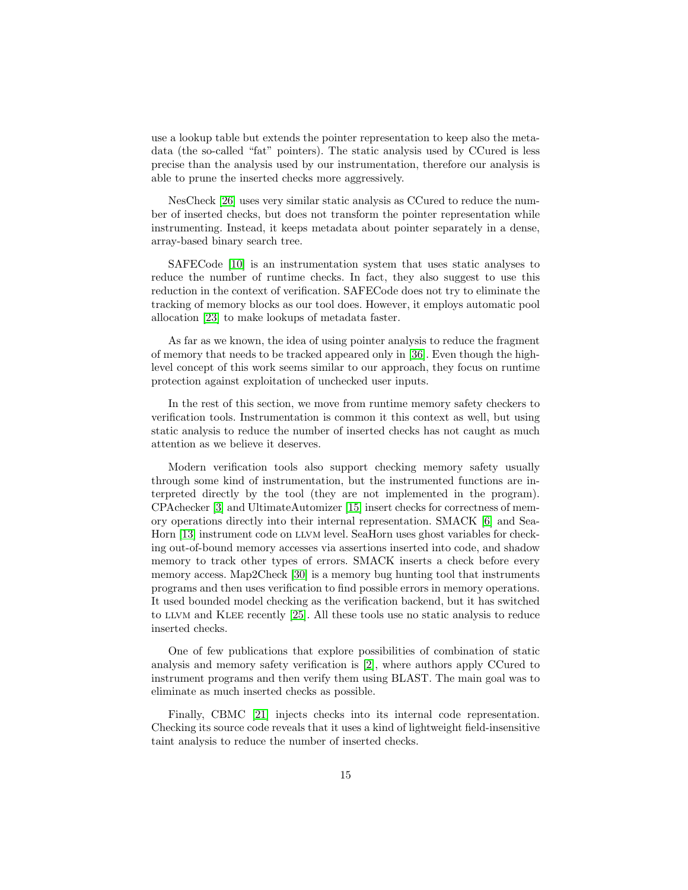use a lookup table but extends the pointer representation to keep also the metadata (the so-called "fat" pointers). The static analysis used by CCured is less precise than the analysis used by our instrumentation, therefore our analysis is able to prune the inserted checks more aggressively.

NesCheck [\[26\]](#page-16-10) uses very similar static analysis as CCured to reduce the number of inserted checks, but does not transform the pointer representation while instrumenting. Instead, it keeps metadata about pointer separately in a dense, array-based binary search tree.

SAFECode [\[10\]](#page-16-11) is an instrumentation system that uses static analyses to reduce the number of runtime checks. In fact, they also suggest to use this reduction in the context of verification. SAFECode does not try to eliminate the tracking of memory blocks as our tool does. However, it employs automatic pool allocation [\[23\]](#page-16-12) to make lookups of metadata faster.

As far as we known, the idea of using pointer analysis to reduce the fragment of memory that needs to be tracked appeared only in [\[36\]](#page-17-8). Even though the highlevel concept of this work seems similar to our approach, they focus on runtime protection against exploitation of unchecked user inputs.

In the rest of this section, we move from runtime memory safety checkers to verification tools. Instrumentation is common it this context as well, but using static analysis to reduce the number of inserted checks has not caught as much attention as we believe it deserves.

Modern verification tools also support checking memory safety usually through some kind of instrumentation, but the instrumented functions are interpreted directly by the tool (they are not implemented in the program). CPAchecker [\[3\]](#page-15-6) and UltimateAutomizer [\[15\]](#page-16-13) insert checks for correctness of memory operations directly into their internal representation. SMACK [\[6\]](#page-15-7) and Sea-Horn [\[13\]](#page-16-14) instrument code on llvm level. SeaHorn uses ghost variables for checking out-of-bound memory accesses via assertions inserted into code, and shadow memory to track other types of errors. SMACK inserts a check before every memory access. Map2Check [\[30\]](#page-17-9) is a memory bug hunting tool that instruments programs and then uses verification to find possible errors in memory operations. It used bounded model checking as the verification backend, but it has switched to llvm and Klee recently [\[25\]](#page-16-15). All these tools use no static analysis to reduce inserted checks.

One of few publications that explore possibilities of combination of static analysis and memory safety verification is [\[2\]](#page-15-8), where authors apply CCured to instrument programs and then verify them using BLAST. The main goal was to eliminate as much inserted checks as possible.

Finally, CBMC [\[21\]](#page-16-16) injects checks into its internal code representation. Checking its source code reveals that it uses a kind of lightweight field-insensitive taint analysis to reduce the number of inserted checks.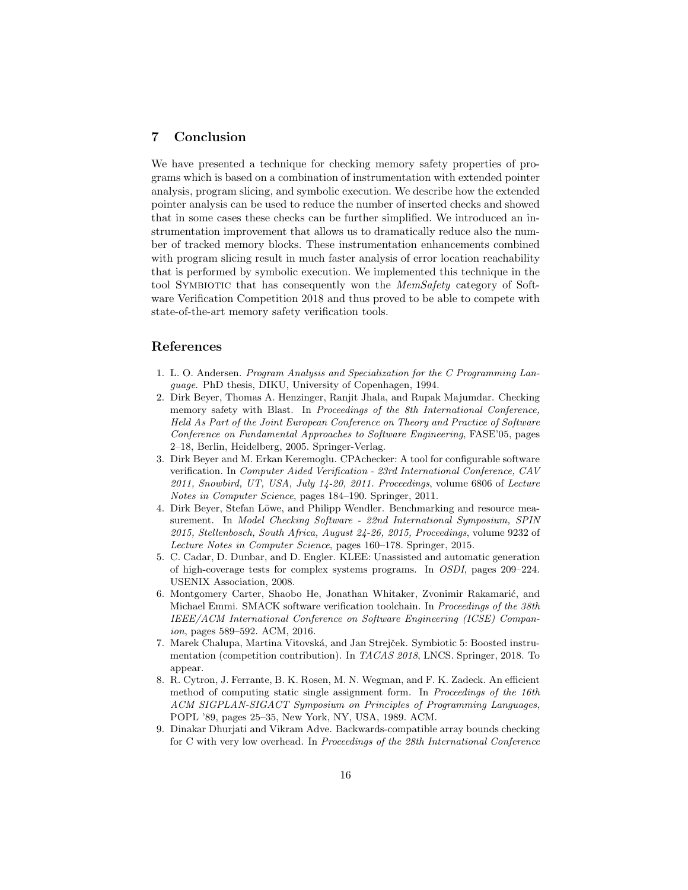## 7 Conclusion

We have presented a technique for checking memory safety properties of programs which is based on a combination of instrumentation with extended pointer analysis, program slicing, and symbolic execution. We describe how the extended pointer analysis can be used to reduce the number of inserted checks and showed that in some cases these checks can be further simplified. We introduced an instrumentation improvement that allows us to dramatically reduce also the number of tracked memory blocks. These instrumentation enhancements combined with program slicing result in much faster analysis of error location reachability that is performed by symbolic execution. We implemented this technique in the tool SYMBIOTIC that has consequently won the *MemSafety* category of Software Verification Competition 2018 and thus proved to be able to compete with state-of-the-art memory safety verification tools.

### References

- <span id="page-15-3"></span>1. L. O. Andersen. Program Analysis and Specialization for the C Programming Language. PhD thesis, DIKU, University of Copenhagen, 1994.
- <span id="page-15-8"></span>2. Dirk Beyer, Thomas A. Henzinger, Ranjit Jhala, and Rupak Majumdar. Checking memory safety with Blast. In Proceedings of the 8th International Conference, Held As Part of the Joint European Conference on Theory and Practice of Software Conference on Fundamental Approaches to Software Engineering, FASE'05, pages 2–18, Berlin, Heidelberg, 2005. Springer-Verlag.
- <span id="page-15-6"></span>3. Dirk Beyer and M. Erkan Keremoglu. CPAchecker: A tool for configurable software verification. In Computer Aided Verification - 23rd International Conference, CAV 2011, Snowbird, UT, USA, July 14-20, 2011. Proceedings, volume 6806 of Lecture Notes in Computer Science, pages 184–190. Springer, 2011.
- <span id="page-15-5"></span>4. Dirk Beyer, Stefan Löwe, and Philipp Wendler. Benchmarking and resource measurement. In Model Checking Software - 22nd International Symposium, SPIN 2015, Stellenbosch, South Africa, August 24-26, 2015, Proceedings, volume 9232 of Lecture Notes in Computer Science, pages 160–178. Springer, 2015.
- <span id="page-15-4"></span>5. C. Cadar, D. Dunbar, and D. Engler. KLEE: Unassisted and automatic generation of high-coverage tests for complex systems programs. In OSDI, pages 209–224. USENIX Association, 2008.
- <span id="page-15-7"></span>6. Montgomery Carter, Shaobo He, Jonathan Whitaker, Zvonimir Rakamarić, and Michael Emmi. SMACK software verification toolchain. In Proceedings of the 38th IEEE/ACM International Conference on Software Engineering (ICSE) Companion, pages 589–592. ACM, 2016.
- <span id="page-15-0"></span>7. Marek Chalupa, Martina Vitovská, and Jan Strejček. Symbiotic 5: Boosted instrumentation (competition contribution). In TACAS 2018, LNCS. Springer, 2018. To appear.
- <span id="page-15-2"></span>8. R. Cytron, J. Ferrante, B. K. Rosen, M. N. Wegman, and F. K. Zadeck. An efficient method of computing static single assignment form. In Proceedings of the 16th ACM SIGPLAN-SIGACT Symposium on Principles of Programming Languages, POPL '89, pages 25–35, New York, NY, USA, 1989. ACM.
- <span id="page-15-1"></span>9. Dinakar Dhurjati and Vikram Adve. Backwards-compatible array bounds checking for C with very low overhead. In Proceedings of the 28th International Conference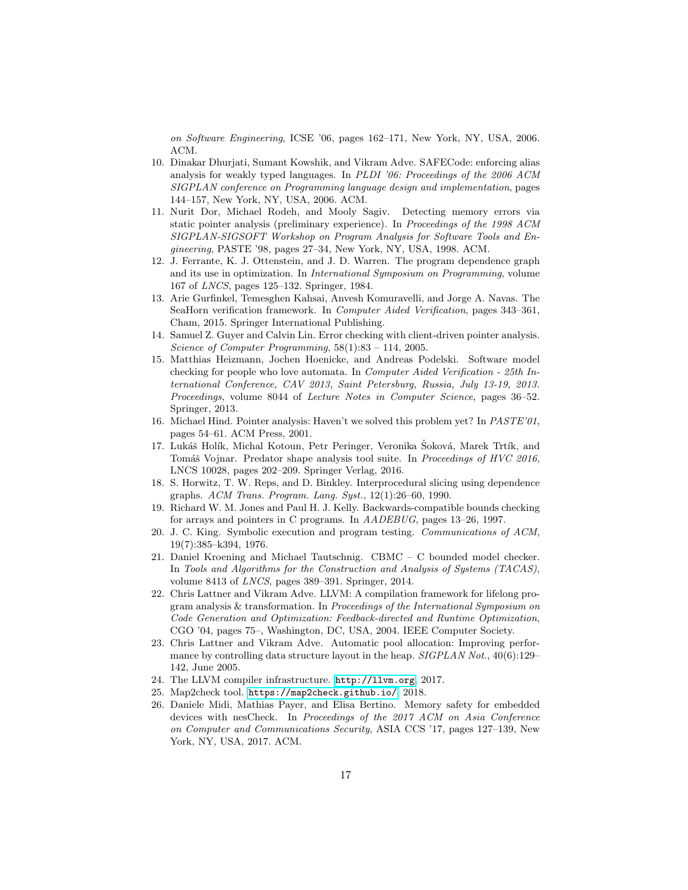on Software Engineering, ICSE '06, pages 162–171, New York, NY, USA, 2006. ACM.

- <span id="page-16-11"></span>10. Dinakar Dhurjati, Sumant Kowshik, and Vikram Adve. SAFECode: enforcing alias analysis for weakly typed languages. In PLDI '06: Proceedings of the 2006 ACM SIGPLAN conference on Programming language design and implementation, pages 144–157, New York, NY, USA, 2006. ACM.
- <span id="page-16-0"></span>11. Nurit Dor, Michael Rodeh, and Mooly Sagiv. Detecting memory errors via static pointer analysis (preliminary experience). In Proceedings of the 1998 ACM SIGPLAN-SIGSOFT Workshop on Program Analysis for Software Tools and Engineering, PASTE '98, pages 27–34, New York, NY, USA, 1998. ACM.
- <span id="page-16-4"></span>12. J. Ferrante, K. J. Ottenstein, and J. D. Warren. The program dependence graph and its use in optimization. In International Symposium on Programming, volume 167 of LNCS, pages 125–132. Springer, 1984.
- <span id="page-16-14"></span>13. Arie Gurfinkel, Temesghen Kahsai, Anvesh Komuravelli, and Jorge A. Navas. The SeaHorn verification framework. In Computer Aided Verification, pages 343–361, Cham, 2015. Springer International Publishing.
- <span id="page-16-1"></span>14. Samuel Z. Guyer and Calvin Lin. Error checking with client-driven pointer analysis. Science of Computer Programming, 58(1):83 – 114, 2005.
- <span id="page-16-13"></span>15. Matthias Heizmann, Jochen Hoenicke, and Andreas Podelski. Software model checking for people who love automata. In Computer Aided Verification - 25th International Conference, CAV 2013, Saint Petersburg, Russia, July 13-19, 2013. Proceedings, volume 8044 of Lecture Notes in Computer Science, pages 36–52. Springer, 2013.
- <span id="page-16-7"></span>16. Michael Hind. Pointer analysis: Haven't we solved this problem yet? In PASTE'01, pages 54–61. ACM Press, 2001.
- <span id="page-16-9"></span>17. Lukáš Holík, Michal Kotoun, Petr Peringer, Veronika Šoková, Marek Trtík, and Tomáš Vojnar. Predator shape analysis tool suite. In Proceedings of HVC 2016, LNCS 10028, pages 202–209. Springer Verlag, 2016.
- <span id="page-16-8"></span>18. S. Horwitz, T. W. Reps, and D. Binkley. Interprocedural slicing using dependence graphs. ACM Trans. Program. Lang. Syst., 12(1):26–60, 1990.
- <span id="page-16-6"></span>19. Richard W. M. Jones and Paul H. J. Kelly. Backwards-compatible bounds checking for arrays and pointers in C programs. In AADEBUG, pages 13–26, 1997.
- <span id="page-16-5"></span>20. J. C. King. Symbolic execution and program testing. Communications of ACM, 19(7):385–k394, 1976.
- <span id="page-16-16"></span>21. Daniel Kroening and Michael Tautschnig. CBMC – C bounded model checker. In Tools and Algorithms for the Construction and Analysis of Systems (TACAS), volume 8413 of LNCS, pages 389–391. Springer, 2014.
- <span id="page-16-2"></span>22. Chris Lattner and Vikram Adve. LLVM: A compilation framework for lifelong program analysis & transformation. In Proceedings of the International Symposium on Code Generation and Optimization: Feedback-directed and Runtime Optimization, CGO '04, pages 75–, Washington, DC, USA, 2004. IEEE Computer Society.
- <span id="page-16-12"></span>23. Chris Lattner and Vikram Adve. Automatic pool allocation: Improving performance by controlling data structure layout in the heap.  $SIGPLAN Not., 40(6):129-$ 142, June 2005.
- <span id="page-16-3"></span>24. The LLVM compiler infrastructure. <http://llvm.org>, 2017.
- <span id="page-16-15"></span>25. Map2check tool. <https://map2check.github.io/>, 2018.
- <span id="page-16-10"></span>26. Daniele Midi, Mathias Payer, and Elisa Bertino. Memory safety for embedded devices with nesCheck. In Proceedings of the 2017 ACM on Asia Conference on Computer and Communications Security, ASIA CCS '17, pages 127–139, New York, NY, USA, 2017. ACM.